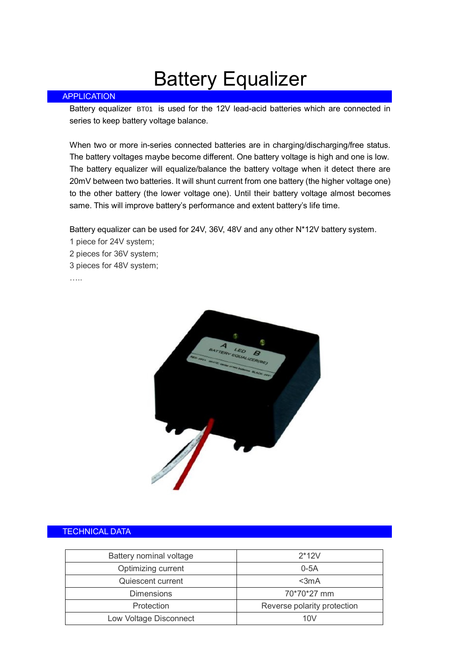## Battery Equalizer

## APPLICATION

Battery equalizer BT01 is used for the 12V lead-acid batteries which are connected in series to keep battery voltage balance.

When two or more in-series connected batteries are in charging/discharging/free status. The battery voltages maybe become different. One battery voltage is high and one is low. The battery equalizer will equalize/balance the battery voltage when it detect there are 20mV between two batteries. It will shunt current from one battery (the higher voltage one) to the other battery (the lower voltage one). Until their battery voltage almost becomes same. This will improve battery's performance and extent battery's life time.

Battery equalizer can be used for 24V, 36V, 48V and any other N\*12V battery system.

- 1 piece for 24V system;
- 2 pieces for 36V system;
- 3 pieces for 48V system;

…<br>……



## TECHNICAL DATA

| Battery nominal voltage                   | $2*12V$     |
|-------------------------------------------|-------------|
| Optimizing current                        | $0-5A$      |
| Quiescent current                         | $3mA$       |
| <b>Dimensions</b>                         | 70*70*27 mm |
| Reverse polarity protection<br>Protection |             |
| Low Voltage Disconnect                    | 10V         |